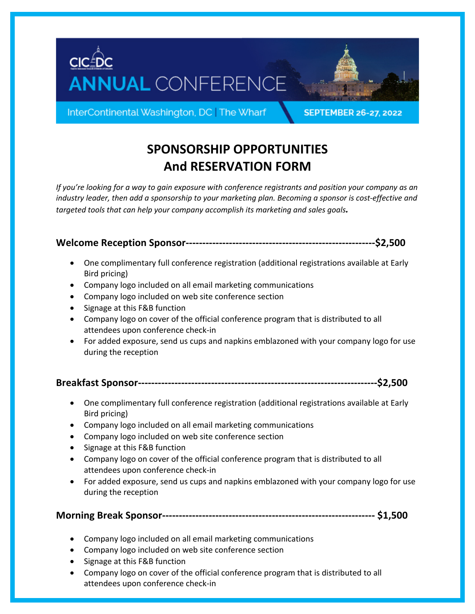



InterContinental Washington, DC | The Wharf

**SEPTEMBER 26-27, 2022** 

# **SPONSORSHIP OPPORTUNITIES And RESERVATION FORM**

*If you're looking for a way to gain exposure with conference registrants and position your company as an industry leader, then add a sponsorship to your marketing plan. Becoming a sponsor is cost-effective and targeted tools that can help your company accomplish its marketing and sales goals.* 

**Welcome Reception Sponsor---------------------------------------------------------\$2,500**

- One complimentary full conference registration (additional registrations available at Early Bird pricing)
- Company logo included on all email marketing communications
- Company logo included on web site conference section
- Signage at this F&B function
- Company logo on cover of the official conference program that is distributed to all attendees upon conference check-in
- For added exposure, send us cups and napkins emblazoned with your company logo for use during the reception

```
Breakfast Sponsor------------------------------------------------------------------------$2,500
```
- One complimentary full conference registration (additional registrations available at Early Bird pricing)
- Company logo included on all email marketing communications
- Company logo included on web site conference section
- Signage at this F&B function
- Company logo on cover of the official conference program that is distributed to all attendees upon conference check-in
- For added exposure, send us cups and napkins emblazoned with your company logo for use during the reception

## **Morning Break Sponsor---------------------------------------------------------------- \$1,500**

- Company logo included on all email marketing communications
- Company logo included on web site conference section
- Signage at this F&B function
- Company logo on cover of the official conference program that is distributed to all attendees upon conference check-in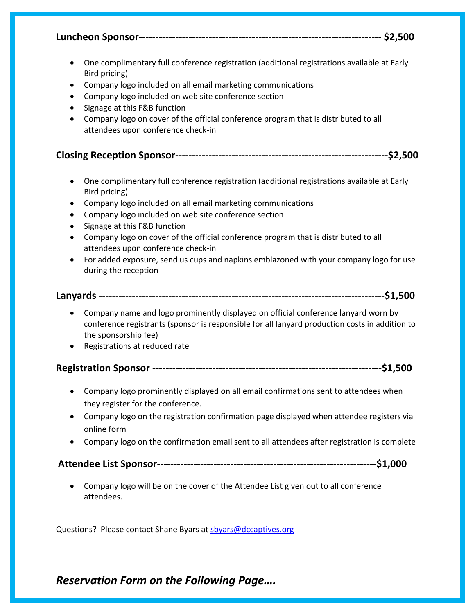**Luncheon Sponsor------------------------------------------------------------------------- \$2,500** 

- One complimentary full conference registration (additional registrations available at Early Bird pricing)
- Company logo included on all email marketing communications
- Company logo included on web site conference section
- Signage at this F&B function
- Company logo on cover of the official conference program that is distributed to all attendees upon conference check-in

### **Closing Reception Sponsor----------------------------------------------------------------\$2,500**

- One complimentary full conference registration (additional registrations available at Early Bird pricing)
- Company logo included on all email marketing communications
- Company logo included on web site conference section
- Signage at this F&B function
- Company logo on cover of the official conference program that is distributed to all attendees upon conference check-in
- For added exposure, send us cups and napkins emblazoned with your company logo for use during the reception

#### **Lanyards --------------------------------------------------------------------------------------\$1,500**

- Company name and logo prominently displayed on official conference lanyard worn by conference registrants (sponsor is responsible for all lanyard production costs in addition to the sponsorship fee)
- Registrations at reduced rate

## **Registration Sponsor ---------------------------------------------------------------------\$1,500**

- Company logo prominently displayed on all email confirmations sent to attendees when they register for the conference.
- Company logo on the registration confirmation page displayed when attendee registers via online form
- Company logo on the confirmation email sent to all attendees after registration is complete

## **Attendee List Sponsor------------------------------------------------------------------\$1,000**

• Company logo will be on the cover of the Attendee List given out to all conference attendees.

Questions? Please contact Shane Byars at sbyars@dccaptives.org

## *Reservation Form on the Following Page….*